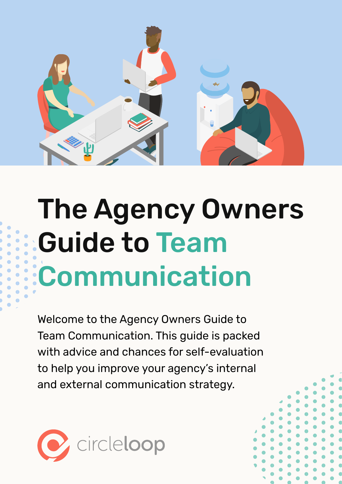

## The Agency Owners Guide to Team Communication

Welcome to the Agency Owners Guide to Team Communication. This guide is packed with advice and chances for self-evaluation to help you improve your agency's internal and external communication strategy.

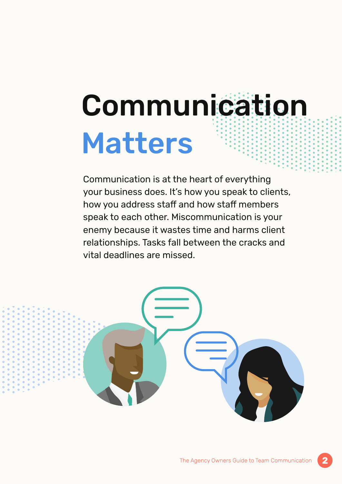## Communication Matters

Communication is at the heart of everything your business does. It's how you speak to clients, how you address staff and how staff members speak to each other. Miscommunication is your enemy because it wastes time and harms client relationships. Tasks fall between the cracks and vital deadlines are missed.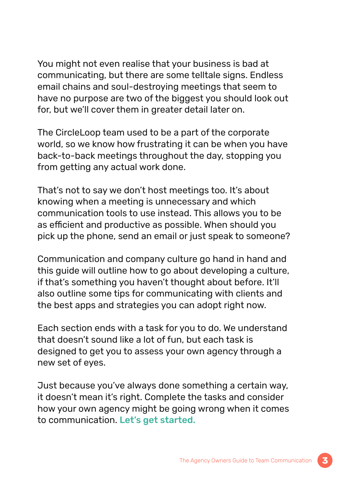You might not even realise that your business is bad at communicating, but there are some telltale signs. Endless email chains and soul-destroying meetings that seem to have no purpose are two of the biggest you should look out for, but we'll cover them in greater detail later on.

The CircleLoop team used to be a part of the corporate world, so we know how frustrating it can be when you have back-to-back meetings throughout the day, stopping you from getting any actual work done.

That's not to say we don't host meetings too. It's about knowing when a meeting is unnecessary and which communication tools to use instead. This allows you to be as efficient and productive as possible. When should you pick up the phone, send an email or just speak to someone?

Communication and company culture go hand in hand and this guide will outline how to go about developing a culture, if that's something you haven't thought about before. It'll also outline some tips for communicating with clients and the best apps and strategies you can adopt right now.

Each section ends with a task for you to do. We understand that doesn't sound like a lot of fun, but each task is designed to get you to assess your own agency through a new set of eyes.

Just because you've always done something a certain way, it doesn't mean it's right. Complete the tasks and consider how your own agency might be going wrong when it comes to communication. Let's get started.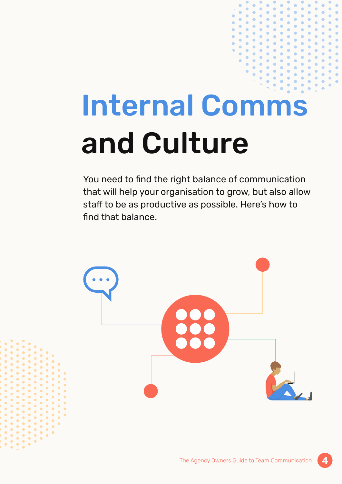## Internal Comms and Culture

You need to find the right balance of communication that will help your organisation to grow, but also allow staff to be as productive as possible. Here's how to find that balance.

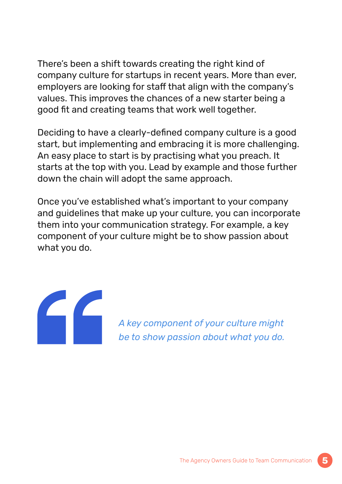There's been a shift towards creating the right kind of company culture for startups in recent years. More than ever, employers are looking for staff that align with the company's values. This improves the chances of a new starter being a good fit and creating teams that work well together.

Deciding to have a clearly-defined company culture is a good start, but implementing and embracing it is more challenging. An easy place to start is by practising what you preach. It starts at the top with you. Lead by example and those further down the chain will adopt the same approach.

Once you've established what's important to your company and guidelines that make up your culture, you can incorporate them into your communication strategy. For example, a key component of your culture might be to show passion about what you do.



*A key component of your culture might be to show passion about what you do.*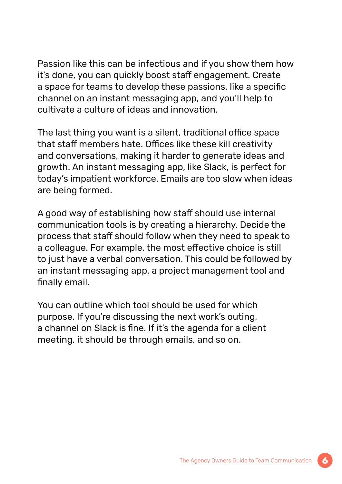Passion like this can be infectious and if you show them how it's done, you can quickly boost staff engagement. Create a space for teams to develop these passions, like a specific channel on an instant messaging app, and you'll help to cultivate a culture of ideas and innovation.

The last thing you want is a silent, traditional office space that staff members hate. Offices like these kill creativity and conversations, making it harder to generate ideas and growth. An instant messaging app, like Slack, is perfect for today's impatient workforce. Emails are too slow when ideas are being formed.

A good way of establishing how staff should use internal communication tools is by creating a hierarchy. Decide the process that staff should follow when they need to speak to a colleague. For example, the most effective choice is still to just have a verbal conversation. This could be followed by an instant messaging app, a project management tool and finally email.

You can outline which tool should be used for which purpose. If you're discussing the next work's outing, a channel on Slack is fine. If it's the agenda for a client meeting, it should be through emails, and so on.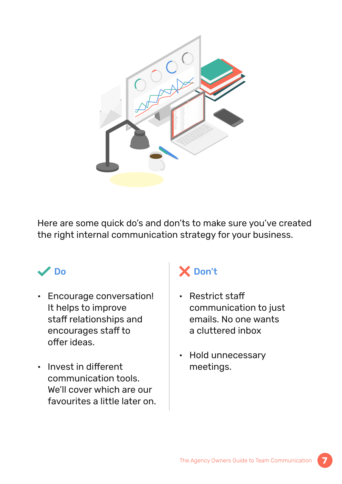

Here are some quick do's and don'ts to make sure you've created the right internal communication strategy for your business.

### Do

- Encourage conversation! It helps to improve staff relationships and encourages staff to offer ideas.
- Invest in different communication tools. We'll cover which are our favourites a little later on.

## X Don't

- Restrict staff communication to just emails. No one wants a cluttered inbox
- Hold unnecessary meetings.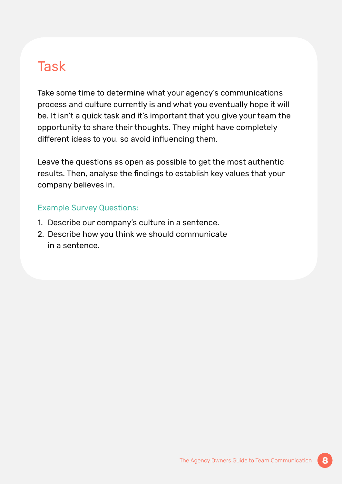### **Task**

Take some time to determine what your agency's communications process and culture currently is and what you eventually hope it will be. It isn't a quick task and it's important that you give your team the opportunity to share their thoughts. They might have completely different ideas to you, so avoid influencing them.

Leave the questions as open as possible to get the most authentic results. Then, analyse the findings to establish key values that your company believes in.

#### Example Survey Questions:

- 1. Describe our company's culture in a sentence.
- 2. Describe how you think we should communicate in a sentence.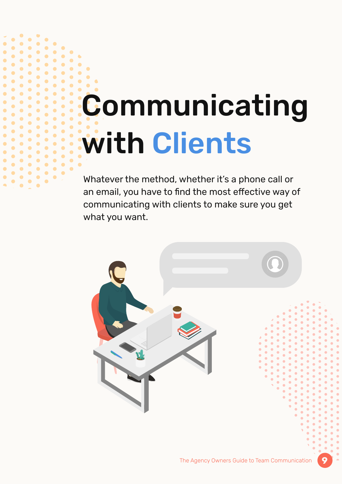# Communicating with Clients

 $\bullet$ ò

> Whatever the method, whether it's a phone call or an email, you have to find the most effective way of communicating with clients to make sure you get what you want.

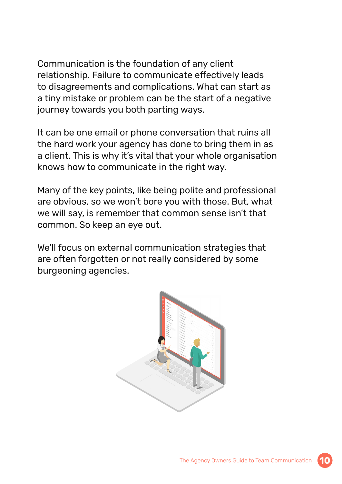Communication is the foundation of any client relationship. Failure to communicate effectively leads to disagreements and complications. What can start as a tiny mistake or problem can be the start of a negative journey towards you both parting ways.

It can be one email or phone conversation that ruins all the hard work your agency has done to bring them in as a client. This is why it's vital that your whole organisation knows how to communicate in the right way.

Many of the key points, like being polite and professional are obvious, so we won't bore you with those. But, what we will say, is remember that common sense isn't that common. So keep an eye out.

We'll focus on external communication strategies that are often forgotten or not really considered by some burgeoning agencies.



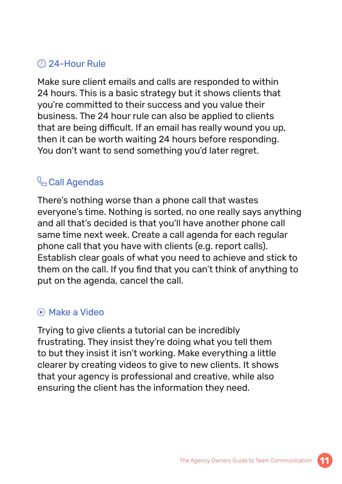#### 24-Hour Rule

Make sure client emails and calls are responded to within 24 hours. This is a basic strategy but it shows clients that you're committed to their success and you value their business. The 24 hour rule can also be applied to clients that are being difficult. If an email has really wound you up, then it can be worth waiting 24 hours before responding. You don't want to send something you'd later regret.

### **Call Agendas**

There's nothing worse than a phone call that wastes everyone's time. Nothing is sorted, no one really says anything and all that's decided is that you'll have another phone call same time next week. Create a call agenda for each regular phone call that you have with clients (e.g. report calls). Establish clear goals of what you need to achieve and stick to them on the call. If you find that you can't think of anything to put on the agenda, cancel the call.

#### Make a Video

Trying to give clients a tutorial can be incredibly frustrating. They insist they're doing what you tell them to but they insist it isn't working. Make everything a little clearer by creating videos to give to new clients. It shows that your agency is professional and creative, while also ensuring the client has the information they need.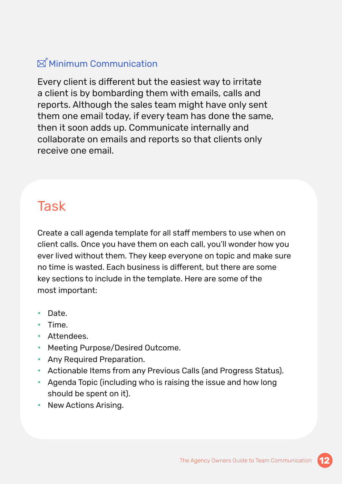### $\boxtimes$  Minimum Communication

Every client is different but the easiest way to irritate a client is by bombarding them with emails, calls and reports. Although the sales team might have only sent them one email today, if every team has done the same, then it soon adds up. Communicate internally and collaborate on emails and reports so that clients only receive one email.

## **Task**

Create a call agenda template for all staff members to use when on client calls. Once you have them on each call, you'll wonder how you ever lived without them. They keep everyone on topic and make sure no time is wasted. Each business is different, but there are some key sections to include in the template. Here are some of the most important:

- Date.
- Time.
- Attendees.
- Meeting Purpose/Desired Outcome.
- Any Required Preparation.
- Actionable Items from any Previous Calls (and Progress Status).
- Agenda Topic (including who is raising the issue and how long should be spent on it).
- New Actions Arising.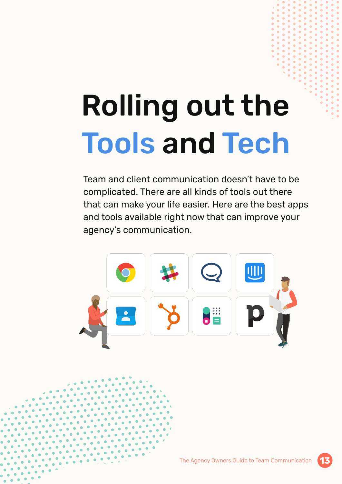# Rolling out the Tools and Tech

Team and client communication doesn't have to be complicated. There are all kinds of tools out there that can make your life easier. Here are the best apps and tools available right now that can improve your agency's communication.





**13**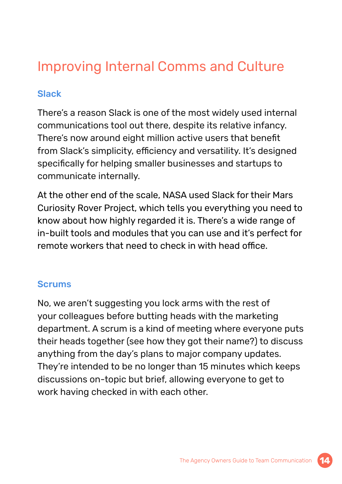## Improving Internal Comms and Culture

#### Slack

There's a reason Slack is one of the most widely used internal communications tool out there, despite its relative infancy. There's now around eight million active users that benefit from Slack's simplicity, efficiency and versatility. It's designed specifically for helping smaller businesses and startups to communicate internally.

At the other end of the scale, NASA used Slack for their Mars Curiosity Rover Project, which tells you everything you need to know about how highly regarded it is. There's a wide range of in-built tools and modules that you can use and it's perfect for remote workers that need to check in with head office.

#### **Scrums**

No, we aren't suggesting you lock arms with the rest of your colleagues before butting heads with the marketing department. A scrum is a kind of meeting where everyone puts their heads together (see how they got their name?) to discuss anything from the day's plans to major company updates. They're intended to be no longer than 15 minutes which keeps discussions on-topic but brief, allowing everyone to get to work having checked in with each other.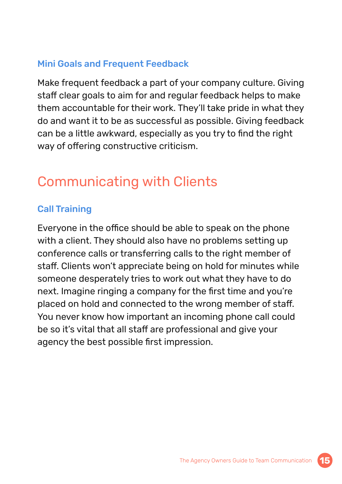#### Mini Goals and Frequent Feedback

Make frequent feedback a part of your company culture. Giving staff clear goals to aim for and regular feedback helps to make them accountable for their work. They'll take pride in what they do and want it to be as successful as possible. Giving feedback can be a little awkward, especially as you try to find the right way of offering constructive criticism.

## Communicating with Clients

#### Call Training

Everyone in the office should be able to speak on the phone with a client. They should also have no problems setting up conference calls or transferring calls to the right member of staff. Clients won't appreciate being on hold for minutes while someone desperately tries to work out what they have to do next. Imagine ringing a company for the first time and you're placed on hold and connected to the wrong member of staff. You never know how important an incoming phone call could be so it's vital that all staff are professional and give your agency the best possible first impression.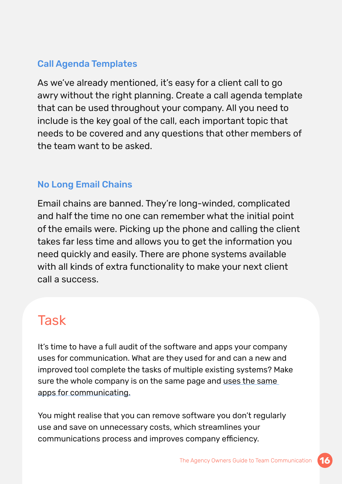#### Call Agenda Templates

As we've already mentioned, it's easy for a client call to go awry without the right planning. Create a call agenda template that can be used throughout your company. All you need to include is the key goal of the call, each important topic that needs to be covered and any questions that other members of the team want to be asked.

#### No Long Email Chains

Email chains are banned. They're long-winded, complicated and half the time no one can remember what the initial point of the emails were. Picking up the phone and calling the client takes far less time and allows you to get the information you need quickly and easily. There are phone systems available with all kinds of extra functionality to make your next client call a success.

## **Task**

It's time to have a full audit of the software and apps your company uses for communication. What are they used for and can a new and improved tool complete the tasks of multiple existing systems? Make sure the whole company is on the same page and uses the same apps for communicating.

You might realise that you can remove software you don't regularly use and save on unnecessary costs, which streamlines your communications process and improves company efficiency.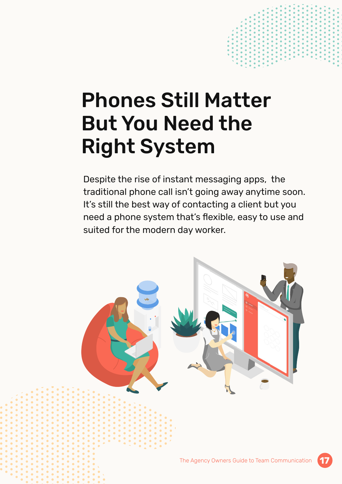## Phones Still Matter But You Need the Right System

Despite the rise of instant messaging apps, the traditional phone call isn't going away anytime soon. It's still the best way of contacting a client but you need a phone system that's flexible, easy to use and suited for the modern day worker.

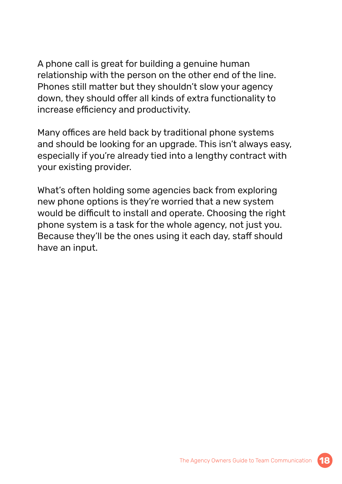A phone call is great for building a genuine human relationship with the person on the other end of the line. Phones still matter but they shouldn't slow your agency down, they should offer all kinds of extra functionality to increase efficiency and productivity.

Many offices are held back by traditional phone systems and should be looking for an upgrade. This isn't always easy, especially if you're already tied into a lengthy contract with your existing provider.

What's often holding some agencies back from exploring new phone options is they're worried that a new system would be difficult to install and operate. Choosing the right phone system is a task for the whole agency, not just you. Because they'll be the ones using it each day, staff should have an input.

**18**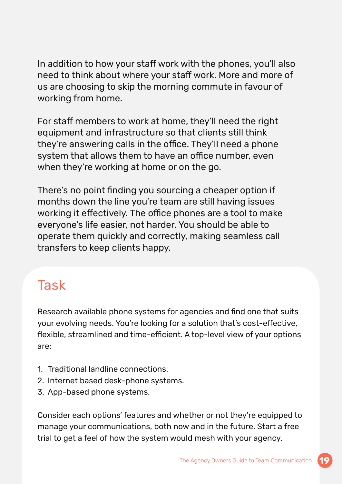In addition to how your staff work with the phones, you'll also need to think about where your staff work. More and more of us are choosing to skip the morning commute in favour of working from home.

For staff members to work at home, they'll need the right equipment and infrastructure so that clients still think they're answering calls in the office. They'll need a phone system that allows them to have an office number, even when they're working at home or on the go.

There's no point finding you sourcing a cheaper option if months down the line you're team are still having issues working it effectively. The office phones are a tool to make everyone's life easier, not harder. You should be able to operate them quickly and correctly, making seamless call transfers to keep clients happy.

## **Task**

Research available phone systems for agencies and find one that suits your evolving needs. You're looking for a solution that's cost-effective, flexible, streamlined and time-efficient. A top-level view of your options are:

- 1. Traditional landline connections.
- 2. Internet based desk-phone systems.
- 3. App-based phone systems.

Consider each options' features and whether or not they're equipped to manage your communications, both now and in the future. Start a free trial to get a feel of how the system would mesh with your agency.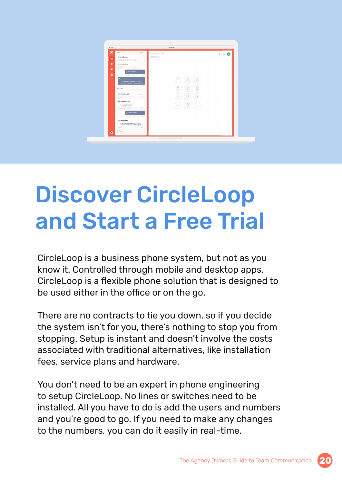

## Discover CircleLoop and Start a Free Trial

CircleLoop is a business phone system, but not as you know it. Controlled through mobile and desktop apps, CircleLoop is a flexible phone solution that is designed to be used either in the office or on the go.

There are no contracts to tie you down, so if you decide the system isn't for you, there's nothing to stop you from stopping. Setup is instant and doesn't involve the costs associated with traditional alternatives, like installation fees, service plans and hardware.

You don't need to be an expert in phone engineering to setup CircleLoop. No lines or switches need to be installed. All you have to do is add the users and numbers and you're good to go. If you need to make any changes to the numbers, you can do it easily in real-time.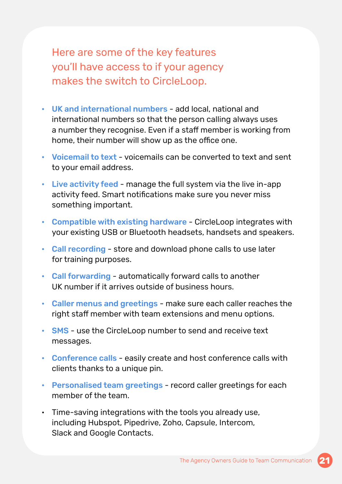Here are some of the key features you'll have access to if your agency makes the switch to CircleLoop.

- UK and international numbers add local, national and international numbers so that the person calling always uses a number they recognise. Even if a staff member is working from home, their number will show up as the office one.
- Voicemail to text voicemails can be converted to text and sent to your email address.
- Live activity feed manage the full system via the live in-app activity feed. Smart notifications make sure you never miss something important.
- Compatible with existing hardware CircleLoop integrates with your existing USB or Bluetooth headsets, handsets and speakers.
- Call recording store and download phone calls to use later for training purposes.
- Call forwarding automatically forward calls to another UK number if it arrives outside of business hours.
- Caller menus and greetings make sure each caller reaches the right staff member with team extensions and menu options.
- SMS use the CircleLoop number to send and receive text messages.
- Conference calls easily create and host conference calls with clients thanks to a unique pin.
- Personalised team greetings record caller greetings for each member of the team.
- Time-saving integrations with the tools you already use, including Hubspot, Pipedrive, Zoho, Capsule, Intercom, Slack and Google Contacts.